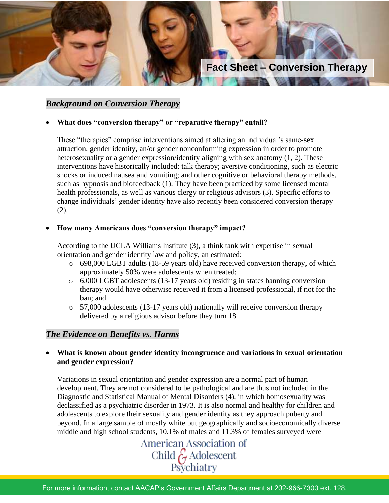

## *Background on Conversion Therapy*

### • **What does "conversion therapy" or "reparative therapy" entail?**

These "therapies" comprise interventions aimed at altering an individual's same-sex attraction, gender identity, an/or gender nonconforming expression in order to promote heterosexuality or a gender expression/identity aligning with sex anatomy (1, 2). These interventions have historically included: talk therapy; aversive conditioning, such as electric shocks or induced nausea and vomiting; and other cognitive or behavioral therapy methods, such as hypnosis and biofeedback (1). They have been practiced by some licensed mental health professionals, as well as various clergy or religious advisors (3). Specific efforts to change individuals' gender identity have also recently been considered conversion therapy (2).

#### • **How many Americans does "conversion therapy" impact?**

According to the UCLA Williams Institute (3), a think tank with expertise in sexual orientation and gender identity law and policy, an estimated:

- o 698,000 LGBT adults (18-59 years old) have received conversion therapy, of which approximately 50% were adolescents when treated;
- o 6,000 LGBT adolescents (13-17 years old) residing in states banning conversion therapy would have otherwise received it from a licensed professional, if not for the ban; and
- o 57,000 adolescents (13-17 years old) nationally will receive conversion therapy delivered by a religious advisor before they turn 18.

### *The Evidence on Benefits vs. Harms*

• **What is known about gender identity incongruence and variations in sexual orientation and gender expression?**

Variations in sexual orientation and gender expression are a normal part of human development. They are not considered to be pathological and are thus not included in the Diagnostic and Statistical Manual of Mental Disorders (4), in which homosexuality was declassified as a psychiatric disorder in 1973. It is also normal and healthy for children and adolescents to explore their sexuality and gender identity as they approach puberty and beyond. In a large sample of mostly white but geographically and socioeconomically diverse middle and high school students, 10.1% of males and 11.3% of females surveyed were

> American Association of Child & Adolescent<br>Psychiatry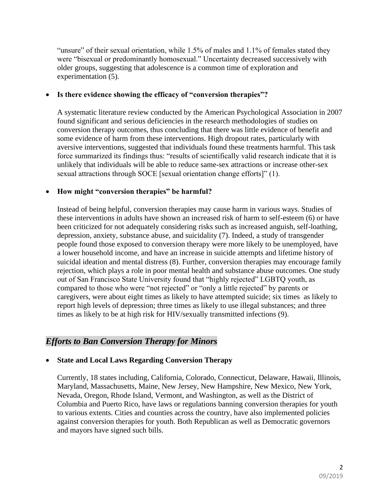"unsure" of their sexual orientation, while 1.5% of males and 1.1% of females stated they were "bisexual or predominantly homosexual." Uncertainty decreased successively with older groups, suggesting that adolescence is a common time of exploration and experimentation (5).

### • **Is there evidence showing the efficacy of "conversion therapies"?**

A systematic literature review conducted by the American Psychological Association in 2007 found significant and serious deficiencies in the research methodologies of studies on conversion therapy outcomes, thus concluding that there was little evidence of benefit and some evidence of harm from these interventions. High dropout rates, particularly with aversive interventions, suggested that individuals found these treatments harmful. This task force summarized its findings thus: "results of scientifically valid research indicate that it is unlikely that individuals will be able to reduce same-sex attractions or increase other-sex sexual attractions through SOCE [sexual orientation change efforts]" (1).

## • **How might "conversion therapies" be harmful?**

Instead of being helpful, conversion therapies may cause harm in various ways. Studies of these interventions in adults have shown an increased risk of harm to self-esteem (6) or have been criticized for not adequately considering risks such as increased anguish, self-loathing, depression, anxiety, substance abuse, and suicidality (7). Indeed, a study of transgender people found those exposed to conversion therapy were more likely to be unemployed, have a lower household income, and have an increase in suicide attempts and lifetime history of suicidal ideation and mental distress (8). Further, conversion therapies may encourage family rejection, which plays a role in poor mental health and substance abuse outcomes. One study out of San Francisco State University found that "highly rejected" LGBTQ youth, as compared to those who were "not rejected" or "only a little rejected" by parents or caregivers, were about eight times as likely to have attempted suicide; six times as likely to report high levels of depression; three times as likely to use illegal substances; and three times as likely to be at high risk for HIV/sexually transmitted infections (9).

# *Efforts to Ban Conversion Therapy for Minors*

## • **State and Local Laws Regarding Conversion Therapy**

Currently, 18 states including, California, Colorado, Connecticut, Delaware, Hawaii, Illinois, Maryland, Massachusetts, Maine, New Jersey, New Hampshire, New Mexico, New York, Nevada, Oregon, Rhode Island, Vermont, and Washington, as well as the District of Columbia and Puerto Rico, have laws or regulations banning conversion therapies for youth to various extents. Cities and counties across the country, have also implemented policies against conversion therapies for youth. Both Republican as well as Democratic governors and mayors have signed such bills.